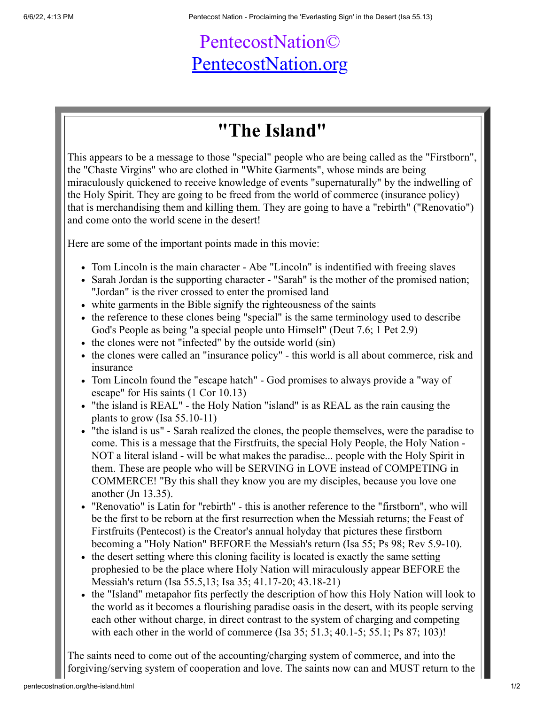## PentecostNation© [PentecostNation.org](http://pentecostnation.org/)

## **"The Island"**

This appears to be a message to those "special" people who are being called as the "Firstborn", the "Chaste Virgins" who are clothed in "White Garments", whose minds are being miraculously quickened to receive knowledge of events "supernaturally" by the indwelling of the Holy Spirit. They are going to be freed from the world of commerce (insurance policy) that is merchandising them and killing them. They are going to have a "rebirth" ("Renovatio") and come onto the world scene in the desert!

Here are some of the important points made in this movie:

- Tom Lincoln is the main character Abe "Lincoln" is indentified with freeing slaves
- Sarah Jordan is the supporting character "Sarah" is the mother of the promised nation; "Jordan" is the river crossed to enter the promised land
- white garments in the Bible signify the righteousness of the saints
- the reference to these clones being "special" is the same terminology used to describe God's People as being "a special people unto Himself" (Deut 7.6; 1 Pet 2.9)
- the clones were not "infected" by the outside world (sin)
- the clones were called an "insurance policy" this world is all about commerce, risk and insurance
- Tom Lincoln found the "escape hatch" God promises to always provide a "way of escape" for His saints (1 Cor 10.13)
- "the island is REAL" the Holy Nation "island" is as REAL as the rain causing the plants to grow (Isa 55.10-11)
- "the island is us" Sarah realized the clones, the people themselves, were the paradise to come. This is a message that the Firstfruits, the special Holy People, the Holy Nation - NOT a literal island - will be what makes the paradise... people with the Holy Spirit in them. These are people who will be SERVING in LOVE instead of COMPETING in COMMERCE! "By this shall they know you are my disciples, because you love one another (Jn 13.35).
- "Renovatio" is Latin for "rebirth" this is another reference to the "firstborn", who will be the first to be reborn at the first resurrection when the Messiah returns; the Feast of Firstfruits (Pentecost) is the Creator's annual holyday that pictures these firstborn becoming a "Holy Nation" BEFORE the Messiah's return (Isa 55; Ps 98; Rev 5.9-10).
- the desert setting where this cloning facility is located is exactly the same setting prophesied to be the place where Holy Nation will miraculously appear BEFORE the Messiah's return (Isa 55.5,13; Isa 35; 41.17-20; 43.18-21)
- the "Island" metapahor fits perfectly the description of how this Holy Nation will look to the world as it becomes a flourishing paradise oasis in the desert, with its people serving each other without charge, in direct contrast to the system of charging and competing with each other in the world of commerce (Isa 35; 51.3; 40.1-5; 55.1; Ps 87; 103)!

The saints need to come out of the accounting/charging system of commerce, and into the forgiving/serving system of cooperation and love. The saints now can and MUST return to the